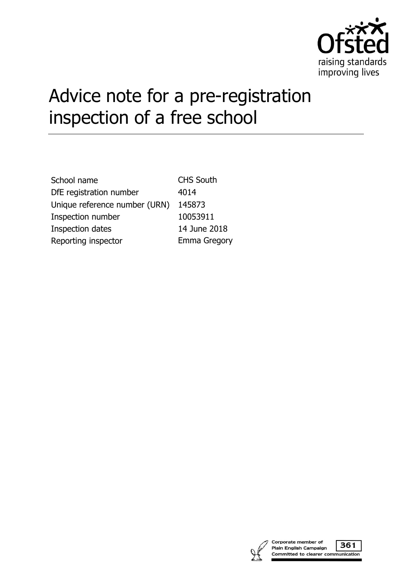

# Advice note for a pre-registration inspection of a free school

| <b>CHS South</b>    |
|---------------------|
| 4014                |
| 145873              |
| 10053911            |
| 14 June 2018        |
| <b>Emma Gregory</b> |
|                     |



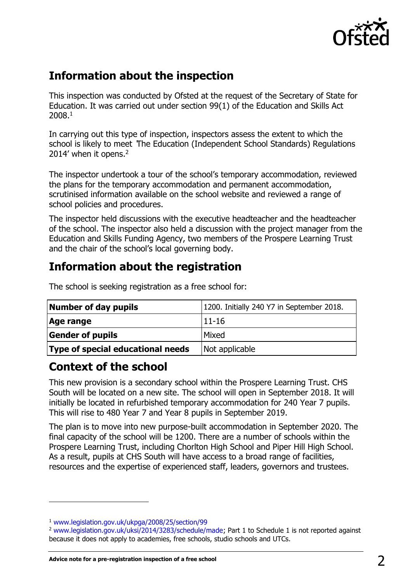

## **Information about the inspection**

This inspection was conducted by Ofsted at the request of the Secretary of State for Education. It was carried out under section 99(1) of the Education and Skills Act 2008.<sup>1</sup>

In carrying out this type of inspection, inspectors assess the extent to which the school is likely to meet 'The Education (Independent School Standards) Regulations 2014' when it opens.<sup>2</sup>

The inspector undertook a tour of the school's temporary accommodation, reviewed the plans for the temporary accommodation and permanent accommodation, scrutinised information available on the school website and reviewed a range of school policies and procedures.

The inspector held discussions with the executive headteacher and the headteacher of the school. The inspector also held a discussion with the project manager from the Education and Skills Funding Agency, two members of the Prospere Learning Trust and the chair of the school's local governing body.

# **Information about the registration**

| Number of day pupils              | 1200. Initially 240 Y7 in September 2018. |
|-----------------------------------|-------------------------------------------|
| Age range                         | $11 - 16$                                 |
| <b>Gender of pupils</b>           | Mixed                                     |
| Type of special educational needs | Not applicable                            |

The school is seeking registration as a free school for:

## **Context of the school**

This new provision is a secondary school within the Prospere Learning Trust. CHS South will be located on a new site. The school will open in September 2018. It will initially be located in refurbished temporary accommodation for 240 Year 7 pupils. This will rise to 480 Year 7 and Year 8 pupils in September 2019.

The plan is to move into new purpose-built accommodation in September 2020. The final capacity of the school will be 1200. There are a number of schools within the Prospere Learning Trust, including Chorlton High School and Piper Hill High School. As a result, pupils at CHS South will have access to a broad range of facilities, resources and the expertise of experienced staff, leaders, governors and trustees.

 $\overline{a}$ 

<sup>1</sup> [www.legislation.gov.uk/ukpga/2008/25/section/99](http://www.legislation.gov.uk/ukpga/2008/25/section/99) 

<sup>&</sup>lt;sup>2</sup> [www.legislation.gov.uk/uksi/2014/3283/schedule/made;](http://www.legislation.gov.uk/uksi/2014/3283/schedule/made) Part 1 to Schedule 1 is not reported against because it does not apply to academies, free schools, studio schools and UTCs.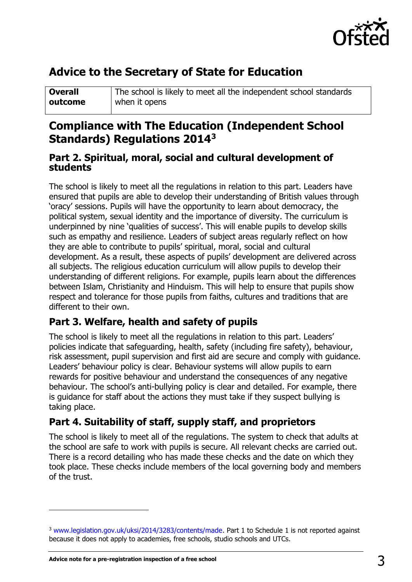

# **Advice to the Secretary of State for Education**

| <b>Overall</b> | The school is likely to meet all the independent school standards |
|----------------|-------------------------------------------------------------------|
| outcome        | when it opens                                                     |

## **Compliance with The Education (Independent School Standards) Regulations 2014<sup>3</sup>**

#### **Part 2. Spiritual, moral, social and cultural development of students**

The school is likely to meet all the regulations in relation to this part. Leaders have ensured that pupils are able to develop their understanding of British values through 'oracy' sessions. Pupils will have the opportunity to learn about democracy, the political system, sexual identity and the importance of diversity. The curriculum is underpinned by nine 'qualities of success'. This will enable pupils to develop skills such as empathy and resilience. Leaders of subject areas regularly reflect on how they are able to contribute to pupils' spiritual, moral, social and cultural development. As a result, these aspects of pupils' development are delivered across all subjects. The religious education curriculum will allow pupils to develop their understanding of different religions. For example, pupils learn about the differences between Islam, Christianity and Hinduism. This will help to ensure that pupils show respect and tolerance for those pupils from faiths, cultures and traditions that are different to their own.

## **Part 3. Welfare, health and safety of pupils**

The school is likely to meet all the regulations in relation to this part. Leaders' policies indicate that safeguarding, health, safety (including fire safety), behaviour, risk assessment, pupil supervision and first aid are secure and comply with guidance. Leaders' behaviour policy is clear. Behaviour systems will allow pupils to earn rewards for positive behaviour and understand the consequences of any negative behaviour. The school's anti-bullying policy is clear and detailed. For example, there is guidance for staff about the actions they must take if they suspect bullying is taking place.

## **Part 4. Suitability of staff, supply staff, and proprietors**

The school is likely to meet all of the regulations. The system to check that adults at the school are safe to work with pupils is secure. All relevant checks are carried out. There is a record detailing who has made these checks and the date on which they took place. These checks include members of the local governing body and members of the trust.

j

<sup>&</sup>lt;sup>3</sup> [www.legislation.gov.uk/uksi/2014/3283/contents/made.](http://www.legislation.gov.uk/uksi/2014/3283/contents/made) Part 1 to Schedule 1 is not reported against because it does not apply to academies, free schools, studio schools and UTCs.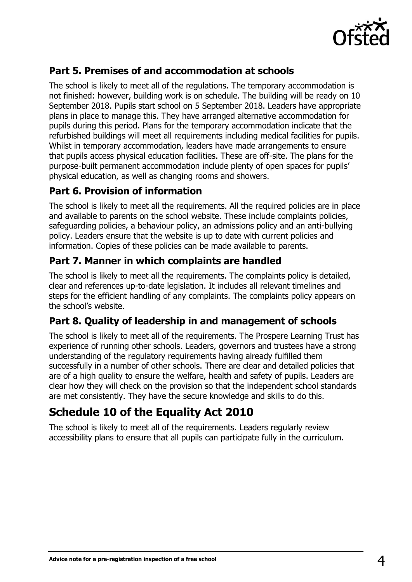

## **Part 5. Premises of and accommodation at schools**

The school is likely to meet all of the regulations. The temporary accommodation is not finished: however, building work is on schedule. The building will be ready on 10 September 2018. Pupils start school on 5 September 2018. Leaders have appropriate plans in place to manage this. They have arranged alternative accommodation for pupils during this period. Plans for the temporary accommodation indicate that the refurbished buildings will meet all requirements including medical facilities for pupils. Whilst in temporary accommodation, leaders have made arrangements to ensure that pupils access physical education facilities. These are off-site. The plans for the purpose-built permanent accommodation include plenty of open spaces for pupils' physical education, as well as changing rooms and showers.

### **Part 6. Provision of information**

The school is likely to meet all the requirements. All the required policies are in place and available to parents on the school website. These include complaints policies, safeguarding policies, a behaviour policy, an admissions policy and an anti-bullying policy. Leaders ensure that the website is up to date with current policies and information. Copies of these policies can be made available to parents.

### **Part 7. Manner in which complaints are handled**

The school is likely to meet all the requirements. The complaints policy is detailed, clear and references up-to-date legislation. It includes all relevant timelines and steps for the efficient handling of any complaints. The complaints policy appears on the school's website.

### **Part 8. Quality of leadership in and management of schools**

The school is likely to meet all of the requirements. The Prospere Learning Trust has experience of running other schools. Leaders, governors and trustees have a strong understanding of the regulatory requirements having already fulfilled them successfully in a number of other schools. There are clear and detailed policies that are of a high quality to ensure the welfare, health and safety of pupils. Leaders are clear how they will check on the provision so that the independent school standards are met consistently. They have the secure knowledge and skills to do this.

# **Schedule 10 of the Equality Act 2010**

The school is likely to meet all of the requirements. Leaders regularly review accessibility plans to ensure that all pupils can participate fully in the curriculum.